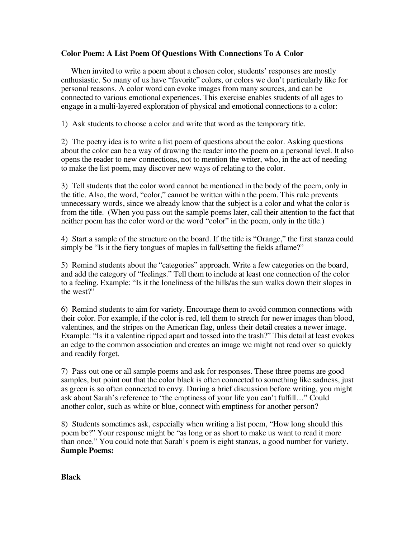## **Color Poem: A List Poem Of Questions With Connections To A Color**

When invited to write a poem about a chosen color, students' responses are mostly enthusiastic. So many of us have "favorite" colors, or colors we don't particularly like for personal reasons. A color word can evoke images from many sources, and can be connected to various emotional experiences. This exercise enables students of all ages to engage in a multi-layered exploration of physical and emotional connections to a color:

1) Ask students to choose a color and write that word as the temporary title.

2) The poetry idea is to write a list poem of questions about the color. Asking questions about the color can be a way of drawing the reader into the poem on a personal level. It also opens the reader to new connections, not to mention the writer, who, in the act of needing to make the list poem, may discover new ways of relating to the color.

3) Tell students that the color word cannot be mentioned in the body of the poem, only in the title. Also, the word, "color," cannot be written within the poem. This rule prevents unnecessary words, since we already know that the subject is a color and what the color is from the title. (When you pass out the sample poems later, call their attention to the fact that neither poem has the color word or the word "color" in the poem, only in the title.)

4) Start a sample of the structure on the board. If the title is "Orange," the first stanza could simply be "Is it the fiery tongues of maples in fall/setting the fields aflame?"

5) Remind students about the "categories" approach. Write a few categories on the board, and add the category of "feelings." Tell them to include at least one connection of the color to a feeling. Example: "Is it the loneliness of the hills/as the sun walks down their slopes in the west?"

6) Remind students to aim for variety. Encourage them to avoid common connections with their color. For example, if the color is red, tell them to stretch for newer images than blood, valentines, and the stripes on the American flag, unless their detail creates a newer image. Example: "Is it a valentine ripped apart and tossed into the trash?" This detail at least evokes an edge to the common association and creates an image we might not read over so quickly and readily forget.

7) Pass out one or all sample poems and ask for responses. These three poems are good samples, but point out that the color black is often connected to something like sadness, just as green is so often connected to envy. During a brief discussion before writing, you might ask about Sarah's reference to "the emptiness of your life you can't fulfill…" Could another color, such as white or blue, connect with emptiness for another person?

8) Students sometimes ask, especially when writing a list poem, "How long should this poem be?" Your response might be "as long or as short to make us want to read it more than once." You could note that Sarah's poem is eight stanzas, a good number for variety. **Sample Poems:**

**Black**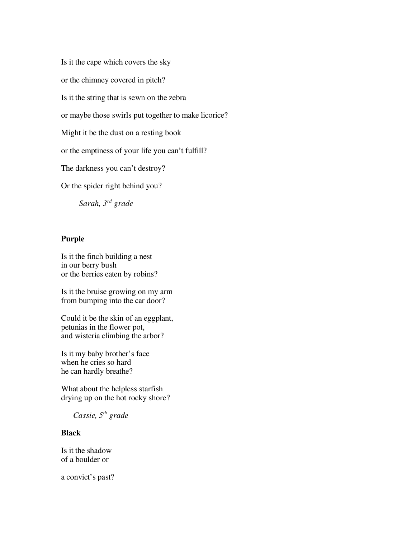Is it the cape which covers the sky or the chimney covered in pitch? Is it the string that is sewn on the zebra or maybe those swirls put together to make licorice? Might it be the dust on a resting book or the emptiness of your life you can't fulfill? The darkness you can't destroy? Or the spider right behind you? *Sarah, 3rd grade*

## **Purple**

Is it the finch building a nest in our berry bush or the berries eaten by robins?

Is it the bruise growing on my arm from bumping into the car door?

Could it be the skin of an eggplant, petunias in the flower pot, and wisteria climbing the arbor?

Is it my baby brother's face when he cries so hard he can hardly breathe?

What about the helpless starfish drying up on the hot rocky shore?

*Cassie, 5th grade*

## **Black**

Is it the shadow of a boulder or

a convict's past?